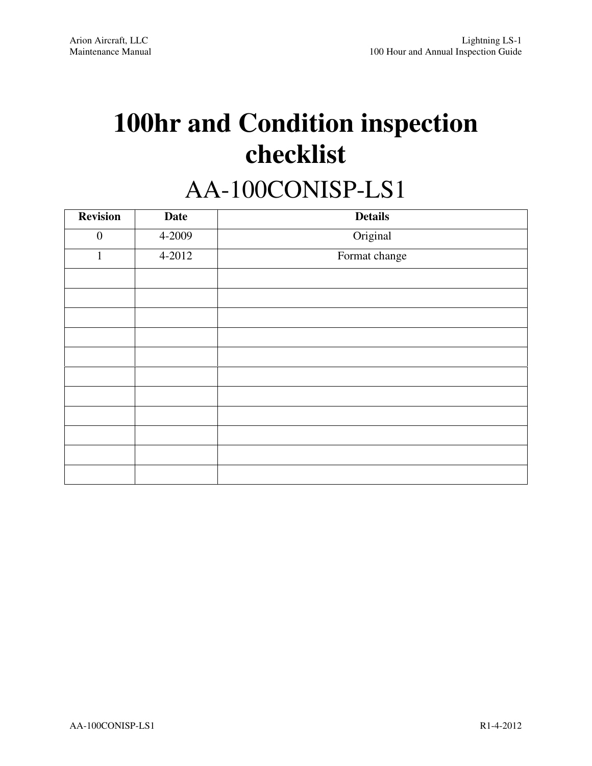# **100hr and Condition inspection checklist**

# AA-100CONISP-LS1

| <b>Revision</b>  | <b>Date</b> | <b>Details</b> |
|------------------|-------------|----------------|
| $\boldsymbol{0}$ | 4-2009      | Original       |
| $\mathbf{1}$     | 4-2012      | Format change  |
|                  |             |                |
|                  |             |                |
|                  |             |                |
|                  |             |                |
|                  |             |                |
|                  |             |                |
|                  |             |                |
|                  |             |                |
|                  |             |                |
|                  |             |                |
|                  |             |                |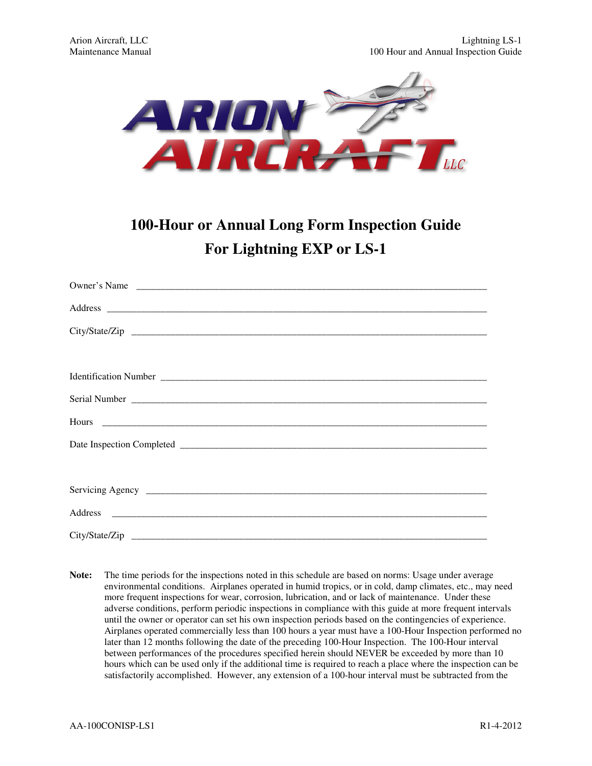

### **100-Hour or Annual Long Form Inspection Guide For Lightning EXP or LS-1**

| Owner's Name |
|--------------|
|              |
|              |
|              |
|              |
|              |
|              |
|              |
|              |
|              |
|              |
|              |

**Note:** The time periods for the inspections noted in this schedule are based on norms: Usage under average environmental conditions. Airplanes operated in humid tropics, or in cold, damp climates, etc., may need more frequent inspections for wear, corrosion, lubrication, and or lack of maintenance. Under these adverse conditions, perform periodic inspections in compliance with this guide at more frequent intervals until the owner or operator can set his own inspection periods based on the contingencies of experience. Airplanes operated commercially less than 100 hours a year must have a 100-Hour Inspection performed no later than 12 months following the date of the preceding 100-Hour Inspection. The 100-Hour interval between performances of the procedures specified herein should NEVER be exceeded by more than 10 hours which can be used only if the additional time is required to reach a place where the inspection can be satisfactorily accomplished. However, any extension of a 100-hour interval must be subtracted from the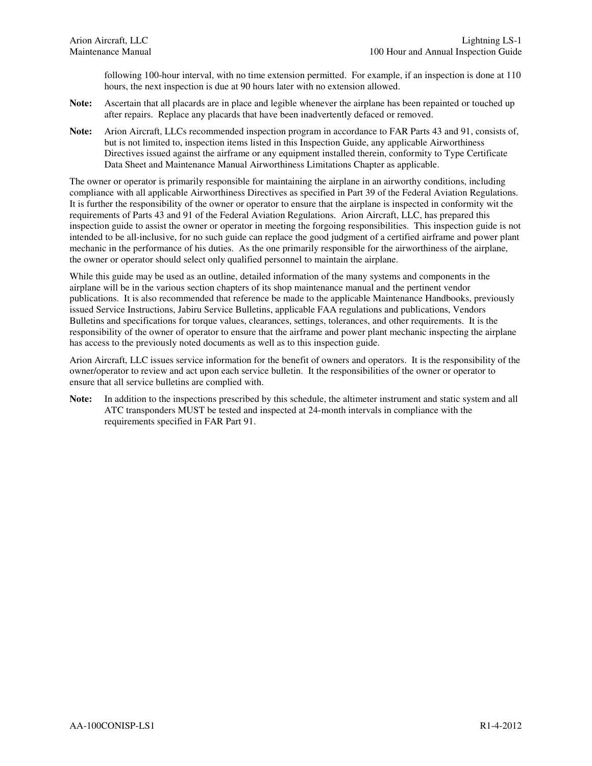following 100-hour interval, with no time extension permitted. For example, if an inspection is done at 110 hours, the next inspection is due at 90 hours later with no extension allowed.

- **Note:** Ascertain that all placards are in place and legible whenever the airplane has been repainted or touched up after repairs. Replace any placards that have been inadvertently defaced or removed.
- **Note:** Arion Aircraft, LLCs recommended inspection program in accordance to FAR Parts 43 and 91, consists of, but is not limited to, inspection items listed in this Inspection Guide, any applicable Airworthiness Directives issued against the airframe or any equipment installed therein, conformity to Type Certificate Data Sheet and Maintenance Manual Airworthiness Limitations Chapter as applicable.

The owner or operator is primarily responsible for maintaining the airplane in an airworthy conditions, including compliance with all applicable Airworthiness Directives as specified in Part 39 of the Federal Aviation Regulations. It is further the responsibility of the owner or operator to ensure that the airplane is inspected in conformity wit the requirements of Parts 43 and 91 of the Federal Aviation Regulations. Arion Aircraft, LLC, has prepared this inspection guide to assist the owner or operator in meeting the forgoing responsibilities. This inspection guide is not intended to be all-inclusive, for no such guide can replace the good judgment of a certified airframe and power plant mechanic in the performance of his duties. As the one primarily responsible for the airworthiness of the airplane, the owner or operator should select only qualified personnel to maintain the airplane.

While this guide may be used as an outline, detailed information of the many systems and components in the airplane will be in the various section chapters of its shop maintenance manual and the pertinent vendor publications. It is also recommended that reference be made to the applicable Maintenance Handbooks, previously issued Service Instructions, Jabiru Service Bulletins, applicable FAA regulations and publications, Vendors Bulletins and specifications for torque values, clearances, settings, tolerances, and other requirements. It is the responsibility of the owner of operator to ensure that the airframe and power plant mechanic inspecting the airplane has access to the previously noted documents as well as to this inspection guide.

Arion Aircraft, LLC issues service information for the benefit of owners and operators. It is the responsibility of the owner/operator to review and act upon each service bulletin. It the responsibilities of the owner or operator to ensure that all service bulletins are complied with.

Note: In addition to the inspections prescribed by this schedule, the altimeter instrument and static system and all ATC transponders MUST be tested and inspected at 24-month intervals in compliance with the requirements specified in FAR Part 91.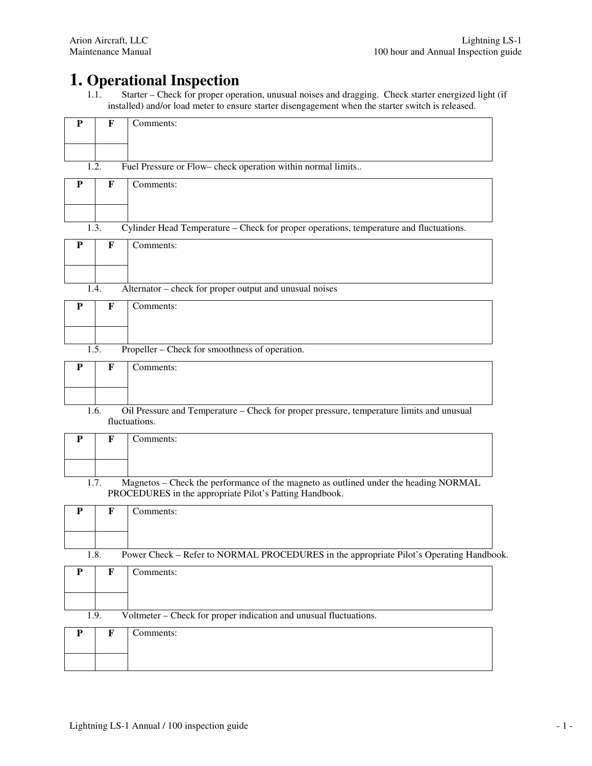## **1. Operational Inspection**<br>1.1. Starter – Check for proper oper

Starter – Check for proper operation, unusual noises and dragging. Check starter energized light (if installed) and/or load meter to ensure starter disengagement when the starter switch is released.

| ${\bf P}$   | F                  | Comments:                                                                                                                                       |
|-------------|--------------------|-------------------------------------------------------------------------------------------------------------------------------------------------|
|             |                    |                                                                                                                                                 |
|             | 1.2.               | Fuel Pressure or Flow-check operation within normal limits                                                                                      |
| ${\bf P}$   | $\mathbf F$        | Comments:                                                                                                                                       |
|             | 1.3.               | Cylinder Head Temperature – Check for proper operations, temperature and fluctuations.                                                          |
| P           | $\mathbf F$        | Comments:                                                                                                                                       |
|             | 1.4.               | Alternator – check for proper output and unusual noises                                                                                         |
| P           | F                  | Comments:                                                                                                                                       |
|             | 1.5.               | Propeller – Check for smoothness of operation.                                                                                                  |
| P           | F                  | Comments:                                                                                                                                       |
|             | 1.6.               | Oil Pressure and Temperature - Check for proper pressure, temperature limits and unusual<br>fluctuations.                                       |
| ${\bf P}$   | F                  | Comments:                                                                                                                                       |
|             | $\overline{1.7}$ . | Magnetos - Check the performance of the magneto as outlined under the heading NORMAL<br>PROCEDURES in the appropriate Pilot's Patting Handbook. |
| ${\bf P}$   | $\mathbf F$        | Comments:                                                                                                                                       |
|             | 1.8.               | Power Check - Refer to NORMAL PROCEDURES in the appropriate Pilot's Operating Handbook.                                                         |
| $\mathbf P$ | $\mathbf F$        | Comments:                                                                                                                                       |
|             | 1.9.               | Voltmeter – Check for proper indication and unusual fluctuations.                                                                               |
| $\mathbf P$ | $\mathbf F$        | Comments:                                                                                                                                       |
|             |                    |                                                                                                                                                 |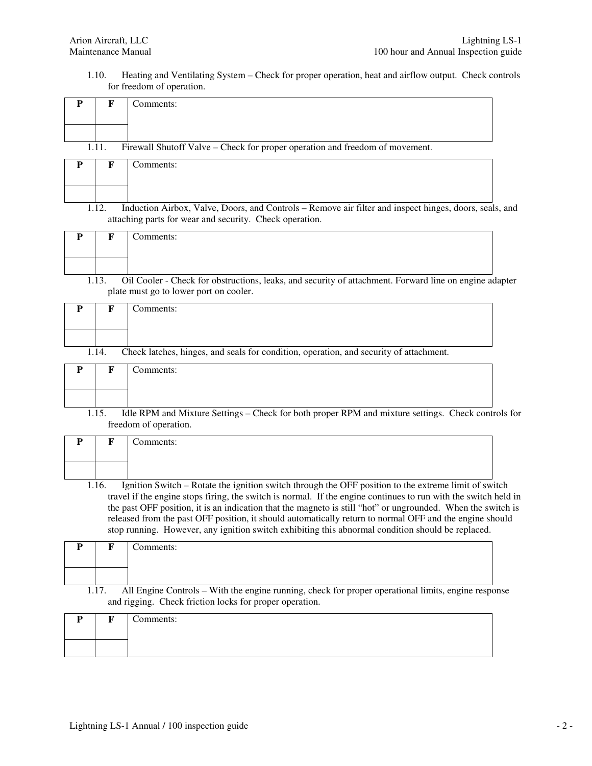1.10. Heating and Ventilating System – Check for proper operation, heat and airflow output. Check controls for freedom of operation.

| P | F     | Comments:                                                                                                                                                                                                                                                                                                                                                                                                                                                                                                                                               |
|---|-------|---------------------------------------------------------------------------------------------------------------------------------------------------------------------------------------------------------------------------------------------------------------------------------------------------------------------------------------------------------------------------------------------------------------------------------------------------------------------------------------------------------------------------------------------------------|
|   |       |                                                                                                                                                                                                                                                                                                                                                                                                                                                                                                                                                         |
|   | 1.11. | Firewall Shutoff Valve – Check for proper operation and freedom of movement.                                                                                                                                                                                                                                                                                                                                                                                                                                                                            |
| P | F     | Comments:                                                                                                                                                                                                                                                                                                                                                                                                                                                                                                                                               |
|   | 1.12. | Induction Airbox, Valve, Doors, and Controls - Remove air filter and inspect hinges, doors, seals, and<br>attaching parts for wear and security. Check operation.                                                                                                                                                                                                                                                                                                                                                                                       |
| P | F     | Comments:                                                                                                                                                                                                                                                                                                                                                                                                                                                                                                                                               |
|   | 1.13. | Oil Cooler - Check for obstructions, leaks, and security of attachment. Forward line on engine adapter<br>plate must go to lower port on cooler.                                                                                                                                                                                                                                                                                                                                                                                                        |
| P | F     | Comments:                                                                                                                                                                                                                                                                                                                                                                                                                                                                                                                                               |
|   | 1.14. | Check latches, hinges, and seals for condition, operation, and security of attachment.                                                                                                                                                                                                                                                                                                                                                                                                                                                                  |
| P | F     | Comments:                                                                                                                                                                                                                                                                                                                                                                                                                                                                                                                                               |
|   | 1.15. | Idle RPM and Mixture Settings - Check for both proper RPM and mixture settings. Check controls for<br>freedom of operation.                                                                                                                                                                                                                                                                                                                                                                                                                             |
| P | F     | Comments:                                                                                                                                                                                                                                                                                                                                                                                                                                                                                                                                               |
|   | 1.16. | Ignition Switch - Rotate the ignition switch through the OFF position to the extreme limit of switch<br>travel if the engine stops firing, the switch is normal. If the engine continues to run with the switch held in<br>the past OFF position, it is an indication that the magneto is still "hot" or ungrounded. When the switch is<br>released from the past OFF position, it should automatically return to normal OFF and the engine should<br>stop running. However, any ignition switch exhibiting this abnormal condition should be replaced. |
| P | F     | Comments:                                                                                                                                                                                                                                                                                                                                                                                                                                                                                                                                               |
|   | 1.17. | All Engine Controls – With the engine running, check for proper operational limits, engine response<br>and rigging. Check friction locks for proper operation.                                                                                                                                                                                                                                                                                                                                                                                          |
| P | F     | Comments:                                                                                                                                                                                                                                                                                                                                                                                                                                                                                                                                               |
|   |       |                                                                                                                                                                                                                                                                                                                                                                                                                                                                                                                                                         |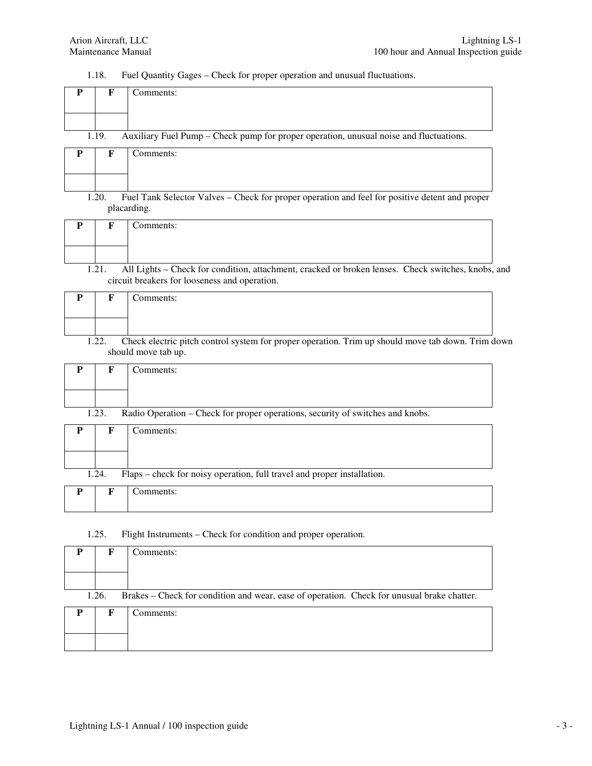1.18. Fuel Quantity Gages – Check for proper operation and unusual fluctuations.

| P         | $\mathbf{F}$ | Comments:                                                                                                                |
|-----------|--------------|--------------------------------------------------------------------------------------------------------------------------|
|           |              |                                                                                                                          |
|           |              |                                                                                                                          |
|           | 1.19.        | Auxiliary Fuel Pump - Check pump for proper operation, unusual noise and fluctuations.                                   |
| ${\bf P}$ | $\mathbf{F}$ | Comments:                                                                                                                |
|           |              |                                                                                                                          |
|           |              |                                                                                                                          |
|           | 1.20.        | Fuel Tank Selector Valves - Check for proper operation and feel for positive detent and proper<br>placarding.            |
| P         | F            | Comments:                                                                                                                |
|           |              |                                                                                                                          |
|           |              |                                                                                                                          |
|           | 1.21.        | All Lights - Check for condition, attachment, cracked or broken lenses. Check switches, knobs, and                       |
|           |              | circuit breakers for looseness and operation.                                                                            |
| ${\bf P}$ | F            | Comments:                                                                                                                |
|           |              |                                                                                                                          |
|           |              |                                                                                                                          |
|           | 1.22.        | Check electric pitch control system for proper operation. Trim up should move tab down. Trim down<br>should move tab up. |
| ${\bf P}$ | $\mathbf{F}$ | Comments:                                                                                                                |
|           |              |                                                                                                                          |
|           |              |                                                                                                                          |
|           | 1.23.        | Radio Operation - Check for proper operations, security of switches and knobs.                                           |
| P         | $\mathbf{F}$ | Comments:                                                                                                                |
|           |              |                                                                                                                          |
|           |              |                                                                                                                          |
|           | 1.24.        | Flaps – check for noisy operation, full travel and proper installation.                                                  |
| ${\bf P}$ | ${\bf F}$    | Comments:                                                                                                                |
|           |              |                                                                                                                          |
|           |              |                                                                                                                          |

#### 1.25. Flight Instruments – Check for condition and proper operation.

|                                                                                                     | F | Comments: |  |
|-----------------------------------------------------------------------------------------------------|---|-----------|--|
|                                                                                                     |   |           |  |
|                                                                                                     |   |           |  |
| Brakes – Check for condition and wear, ease of operation. Check for unusual brake chatter.<br>1.26. |   |           |  |
| P                                                                                                   | F | Comments: |  |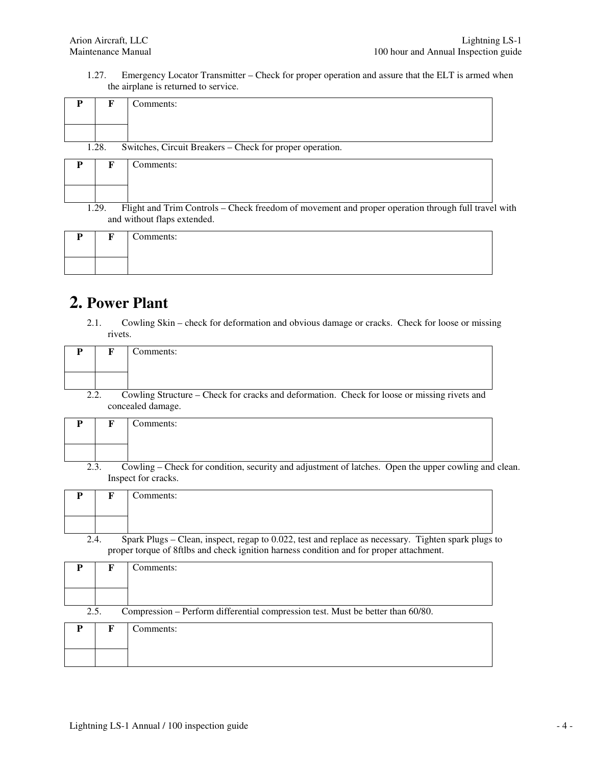1.27. Emergency Locator Transmitter – Check for proper operation and assure that the ELT is armed when the airplane is returned to service.

|       | Comments:                                                |
|-------|----------------------------------------------------------|
|       |                                                          |
|       |                                                          |
| 1.28. | Switches, Circuit Breakers - Check for proper operation. |
|       | $'$ ammantar                                             |

|       | Comments:                                                                                                                         |  |
|-------|-----------------------------------------------------------------------------------------------------------------------------------|--|
|       |                                                                                                                                   |  |
|       |                                                                                                                                   |  |
| 1.29. | Flight and Trim Controls – Check freedom of movement and proper operation through full travel with<br>and without flaps extended. |  |

| $\overline{\phantom{a}}$ | $\sim$ | Comments: |
|--------------------------|--------|-----------|
|                          |        |           |

#### **2. Power Plant**

2.1. Cowling Skin – check for deformation and obvious damage or cracks. Check for loose or missing rivets.

|     | Comments:                                                                                   |
|-----|---------------------------------------------------------------------------------------------|
|     |                                                                                             |
|     |                                                                                             |
| າ າ | Cowling Structure – Check for cracks and deformation. Check for loose or missing rivets and |

concealed damage.

|      | Comments:                                                                                            |  |
|------|------------------------------------------------------------------------------------------------------|--|
|      |                                                                                                      |  |
| 2.3. | Cowling – Check for condition, security and adjustment of latches. Open the upper cowling and clean. |  |

Inspect for cracks.

|  | Comments:                                                                                           |  |
|--|-----------------------------------------------------------------------------------------------------|--|
|  |                                                                                                     |  |
|  | Spark Plugs – Clean, inspect, regan to 0.022, test and replace as necessary. Tighten spark plugs to |  |

2.4. Spark Plugs – Clean, inspect, regap to 0.022, test and replace as necessary. Tighten spark plugs to proper torque of 8ftlbs and check ignition harness condition and for proper attachment.

| P    |   | Comments:                                                                       |
|------|---|---------------------------------------------------------------------------------|
|      |   |                                                                                 |
|      |   |                                                                                 |
| 2.5. |   | Compression - Perform differential compression test. Must be better than 60/80. |
| P    | F | Comments:                                                                       |
|      |   |                                                                                 |
|      |   |                                                                                 |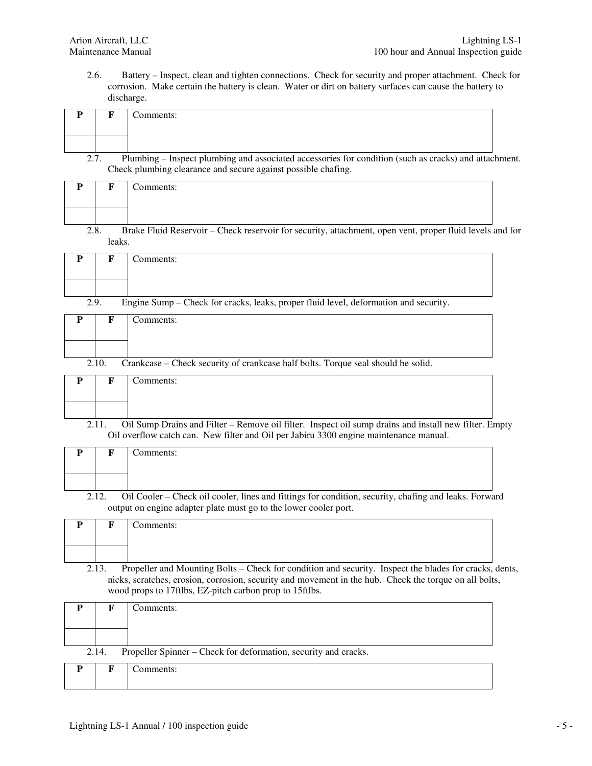2.6. Battery – Inspect, clean and tighten connections. Check for security and proper attachment. Check for corrosion. Make certain the battery is clean. Water or dirt on battery surfaces can cause the battery to discharge.

| P         | F           | Comments:                                                                                                                                                                                      |
|-----------|-------------|------------------------------------------------------------------------------------------------------------------------------------------------------------------------------------------------|
|           |             |                                                                                                                                                                                                |
|           |             |                                                                                                                                                                                                |
|           | 2.7.        | Plumbing - Inspect plumbing and associated accessories for condition (such as cracks) and attachment.<br>Check plumbing clearance and secure against possible chafing.                         |
| P         | F           | Comments:                                                                                                                                                                                      |
|           |             |                                                                                                                                                                                                |
|           |             |                                                                                                                                                                                                |
| 2.8.      |             | Brake Fluid Reservoir - Check reservoir for security, attachment, open vent, proper fluid levels and for                                                                                       |
|           | leaks.      |                                                                                                                                                                                                |
| P         | F           | Comments:                                                                                                                                                                                      |
|           |             |                                                                                                                                                                                                |
|           |             |                                                                                                                                                                                                |
| 2.9.      |             | Engine Sump - Check for cracks, leaks, proper fluid level, deformation and security.                                                                                                           |
| P         | F           | Comments:                                                                                                                                                                                      |
|           |             |                                                                                                                                                                                                |
|           |             |                                                                                                                                                                                                |
|           | 2.10.       | Crankcase - Check security of crankcase half bolts. Torque seal should be solid.                                                                                                               |
|           |             |                                                                                                                                                                                                |
| P         | F           | Comments:                                                                                                                                                                                      |
|           |             |                                                                                                                                                                                                |
|           |             |                                                                                                                                                                                                |
|           | 2.11.       | Oil Sump Drains and Filter - Remove oil filter. Inspect oil sump drains and install new filter. Empty<br>Oil overflow catch can. New filter and Oil per Jabiru 3300 engine maintenance manual. |
| P         | F           | Comments:                                                                                                                                                                                      |
|           |             |                                                                                                                                                                                                |
|           |             |                                                                                                                                                                                                |
|           | 2.12.       | Oil Cooler - Check oil cooler, lines and fittings for condition, security, chafing and leaks. Forward                                                                                          |
|           |             | output on engine adapter plate must go to the lower cooler port.                                                                                                                               |
| ${\bf P}$ | F           | Comments:                                                                                                                                                                                      |
|           |             |                                                                                                                                                                                                |
|           |             |                                                                                                                                                                                                |
|           | 2.13.       | Propeller and Mounting Bolts – Check for condition and security. Inspect the blades for cracks, dents,                                                                                         |
|           |             | nicks, scratches, erosion, corrosion, security and movement in the hub. Check the torque on all bolts,                                                                                         |
|           |             | wood props to 17ftlbs, EZ-pitch carbon prop to 15ftlbs.                                                                                                                                        |
| P         | F           | Comments:                                                                                                                                                                                      |
|           |             |                                                                                                                                                                                                |
|           |             |                                                                                                                                                                                                |
|           | 2.14.       | Propeller Spinner - Check for deformation, security and cracks.                                                                                                                                |
|           |             |                                                                                                                                                                                                |
| Р         | $\mathbf F$ | Comments:                                                                                                                                                                                      |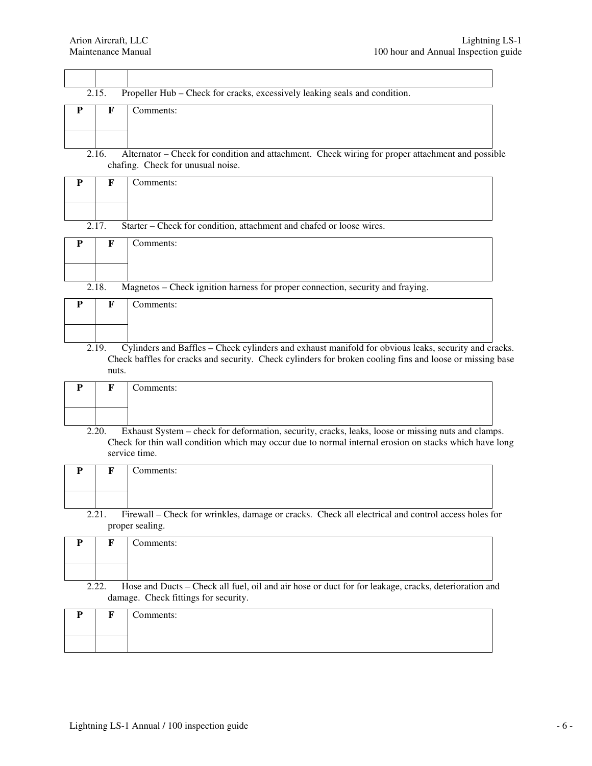|           | 2.15. | Propeller Hub - Check for cracks, excessively leaking seals and condition.                                                                                                                                                                                                                                                                                                                                                 |
|-----------|-------|----------------------------------------------------------------------------------------------------------------------------------------------------------------------------------------------------------------------------------------------------------------------------------------------------------------------------------------------------------------------------------------------------------------------------|
| ${\bf P}$ | F     | Comments:                                                                                                                                                                                                                                                                                                                                                                                                                  |
|           |       |                                                                                                                                                                                                                                                                                                                                                                                                                            |
|           |       |                                                                                                                                                                                                                                                                                                                                                                                                                            |
|           | 2.16. | Alternator – Check for condition and attachment. Check wiring for proper attachment and possible<br>chafing. Check for unusual noise.                                                                                                                                                                                                                                                                                      |
| P         | F     | Comments:                                                                                                                                                                                                                                                                                                                                                                                                                  |
|           |       |                                                                                                                                                                                                                                                                                                                                                                                                                            |
|           | 2.17. | Starter - Check for condition, attachment and chafed or loose wires.                                                                                                                                                                                                                                                                                                                                                       |
| P         | F     | Comments:                                                                                                                                                                                                                                                                                                                                                                                                                  |
|           |       |                                                                                                                                                                                                                                                                                                                                                                                                                            |
|           | 2.18. | Magnetos - Check ignition harness for proper connection, security and fraying.                                                                                                                                                                                                                                                                                                                                             |
| P         | F     | Comments:                                                                                                                                                                                                                                                                                                                                                                                                                  |
|           |       |                                                                                                                                                                                                                                                                                                                                                                                                                            |
|           |       |                                                                                                                                                                                                                                                                                                                                                                                                                            |
|           |       |                                                                                                                                                                                                                                                                                                                                                                                                                            |
|           | 2.19. |                                                                                                                                                                                                                                                                                                                                                                                                                            |
|           |       |                                                                                                                                                                                                                                                                                                                                                                                                                            |
|           | nuts. | Cylinders and Baffles - Check cylinders and exhaust manifold for obvious leaks, security and cracks.<br>Check baffles for cracks and security. Check cylinders for broken cooling fins and loose or missing base                                                                                                                                                                                                           |
| ${\bf P}$ | F     | Comments:                                                                                                                                                                                                                                                                                                                                                                                                                  |
|           |       |                                                                                                                                                                                                                                                                                                                                                                                                                            |
|           |       |                                                                                                                                                                                                                                                                                                                                                                                                                            |
|           | 2.20. |                                                                                                                                                                                                                                                                                                                                                                                                                            |
|           |       | service time.                                                                                                                                                                                                                                                                                                                                                                                                              |
|           |       |                                                                                                                                                                                                                                                                                                                                                                                                                            |
| P         | F     | Comments:                                                                                                                                                                                                                                                                                                                                                                                                                  |
|           |       |                                                                                                                                                                                                                                                                                                                                                                                                                            |
|           |       |                                                                                                                                                                                                                                                                                                                                                                                                                            |
|           | 2.21. | proper sealing.                                                                                                                                                                                                                                                                                                                                                                                                            |
| P         | F     | Comments:                                                                                                                                                                                                                                                                                                                                                                                                                  |
|           |       |                                                                                                                                                                                                                                                                                                                                                                                                                            |
|           |       |                                                                                                                                                                                                                                                                                                                                                                                                                            |
|           | 2.22. | damage. Check fittings for security.                                                                                                                                                                                                                                                                                                                                                                                       |
|           |       |                                                                                                                                                                                                                                                                                                                                                                                                                            |
| P         | F     | Comments:                                                                                                                                                                                                                                                                                                                                                                                                                  |
|           |       | Exhaust System - check for deformation, security, cracks, leaks, loose or missing nuts and clamps.<br>Check for thin wall condition which may occur due to normal internal erosion on stacks which have long<br>Firewall – Check for wrinkles, damage or cracks. Check all electrical and control access holes for<br>Hose and Ducts – Check all fuel, oil and air hose or duct for for leakage, cracks, deterioration and |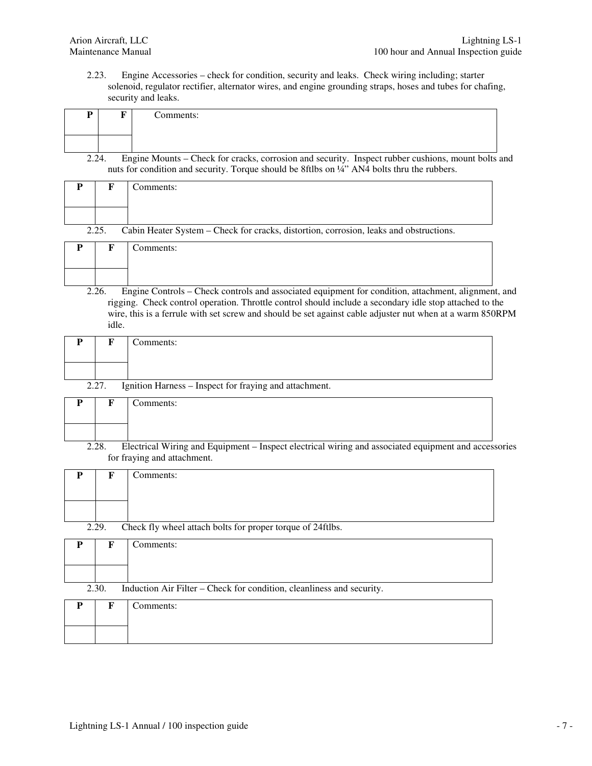2.23. Engine Accessories – check for condition, security and leaks. Check wiring including; starter solenoid, regulator rectifier, alternator wires, and engine grounding straps, hoses and tubes for chafing, security and leaks.

|     | Comments:                                                                                          |  |
|-----|----------------------------------------------------------------------------------------------------|--|
|     |                                                                                                    |  |
|     |                                                                                                    |  |
| C C | Engine Mounts – Check for cracks, corrosion and security. Inspect rubber cushions, mount bolts and |  |

2.24. Engine Mounts – Check for cracks, corrosion and security. Inspect rubber cushions, mount bolts and nuts for condition and security. Torque should be 8ftlbs on 1/4" AN4 bolts thru the rubbers.

|       | Comments:                                                                              |
|-------|----------------------------------------------------------------------------------------|
|       |                                                                                        |
|       |                                                                                        |
| 2.25. | Cabin Heater System – Check for cracks, distortion, corrosion, leaks and obstructions. |

| m | Comments: |
|---|-----------|
|   |           |

2.26. Engine Controls – Check controls and associated equipment for condition, attachment, alignment, and rigging. Check control operation. Throttle control should include a secondary idle stop attached to the wire, this is a ferrule with set screw and should be set against cable adjuster nut when at a warm 850RPM idle.

|       | Comments:                                              |
|-------|--------------------------------------------------------|
|       |                                                        |
| 2.27. | Ignition Harness – Inspect for fraying and attachment. |

| n | $\blacksquare$ | ⌒<br>Comments: |
|---|----------------|----------------|
|   |                |                |

2.28. Electrical Wiring and Equipment – Inspect electrical wiring and associated equipment and accessories for fraying and attachment.

|       | Comments:                                                  |
|-------|------------------------------------------------------------|
|       |                                                            |
|       |                                                            |
|       |                                                            |
| 2.29. | Check fly wheel attach bolts for proper torque of 24ftlbs. |
|       |                                                            |

|       | Comments:                                                             |
|-------|-----------------------------------------------------------------------|
|       |                                                                       |
|       |                                                                       |
| 2.30. | Induction Air Filter – Check for condition, cleanliness and security. |
|       | Comments:                                                             |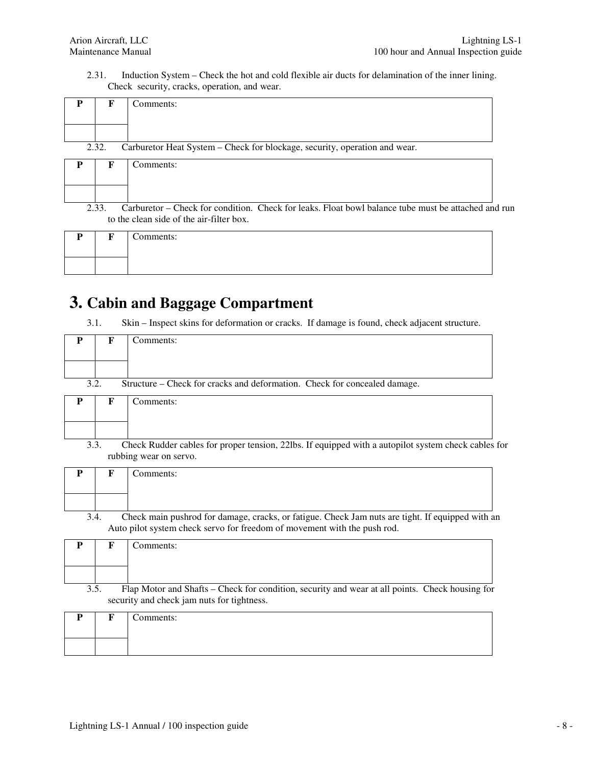2.31. Induction System – Check the hot and cold flexible air ducts for delamination of the inner lining. Check security, cracks, operation, and wear.

|       | Comments:                                                                  |
|-------|----------------------------------------------------------------------------|
|       |                                                                            |
|       |                                                                            |
| 2.32. | Carburetor Heat System - Check for blockage, security, operation and wear. |
|       | Comments:                                                                  |
|       |                                                                            |

<sup>2.33.</sup> Carburetor – Check for condition. Check for leaks. Float bowl balance tube must be attached and run to the clean side of the air-filter box.

| D | $\blacksquare$ | Comments: |
|---|----------------|-----------|
|   |                |           |

### **3. Cabin and Baggage Compartment**

3.1. Skin – Inspect skins for deformation or cracks. If damage is found, check adjacent structure.

| P | F    | Comments:                                                                                                                                                                    |
|---|------|------------------------------------------------------------------------------------------------------------------------------------------------------------------------------|
|   |      |                                                                                                                                                                              |
|   | 3.2. | Structure – Check for cracks and deformation. Check for concealed damage.                                                                                                    |
| P | F    | Comments:                                                                                                                                                                    |
|   |      |                                                                                                                                                                              |
|   | 3.3. | Check Rudder cables for proper tension, 22lbs. If equipped with a autopilot system check cables for<br>rubbing wear on servo.                                                |
| P | F    | Comments:                                                                                                                                                                    |
|   |      |                                                                                                                                                                              |
|   | 3.4. | Check main pushrod for damage, cracks, or fatigue. Check Jam nuts are tight. If equipped with an<br>Auto pilot system check servo for freedom of movement with the push rod. |
| P | F    | Comments:                                                                                                                                                                    |
|   |      |                                                                                                                                                                              |
|   | 3.5. | Flap Motor and Shafts – Check for condition, security and wear at all points. Check housing for<br>security and check jam nuts for tightness.                                |
| P | F    | Comments:                                                                                                                                                                    |
|   |      |                                                                                                                                                                              |
|   |      |                                                                                                                                                                              |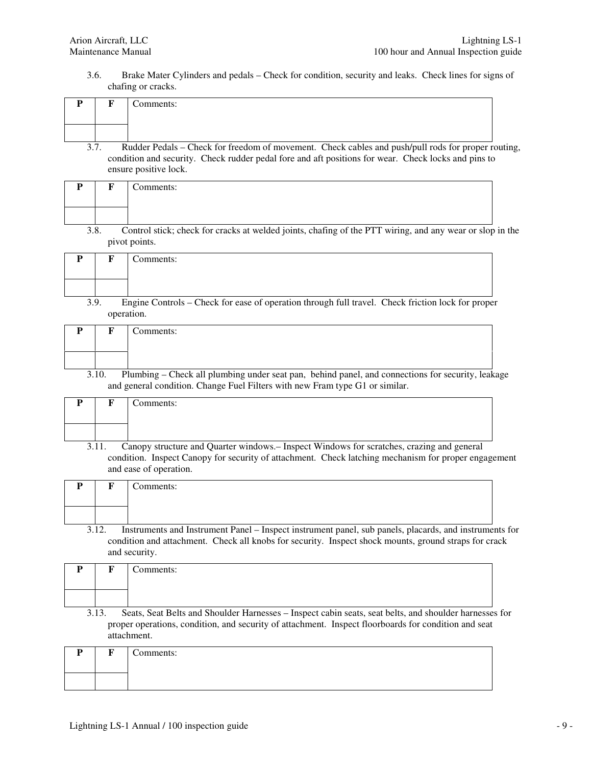3.6. Brake Mater Cylinders and pedals – Check for condition, security and leaks. Check lines for signs of chafing or cracks.

|  | Comments:                                                                                          |  |
|--|----------------------------------------------------------------------------------------------------|--|
|  |                                                                                                    |  |
|  | Rudder Pedals – Check for freedom of movement. Check cables and push/pull rods for proper routing, |  |

condition and security. Check rudder pedal fore and aft positions for wear. Check locks and pins to ensure positive lock.

|      | Comments:                                                                                                |  |
|------|----------------------------------------------------------------------------------------------------------|--|
|      |                                                                                                          |  |
|      |                                                                                                          |  |
| 3.8. | Control stick; check for cracks at welded joints, chafing of the PTT wiring, and any wear or slop in the |  |
|      | pivot points.                                                                                            |  |

| $\mathbf{L}$ | Comments: |
|--------------|-----------|
|              |           |

3.9. Engine Controls – Check for ease of operation through full travel. Check friction lock for proper operation.

| n | $\sim$ | $\sim$<br>Comments: |
|---|--------|---------------------|
|   |        |                     |

3.10. Plumbing – Check all plumbing under seat pan, behind panel, and connections for security, leakage and general condition. Change Fuel Filters with new Fram type G1 or similar.

| D | $\mathbf{r}$ | $\sim$<br>Comments: |
|---|--------------|---------------------|
|   |              |                     |

3.11. Canopy structure and Quarter windows.– Inspect Windows for scratches, crazing and general condition. Inspect Canopy for security of attachment. Check latching mechanism for proper engagement and ease of operation.

|       | Comments:                                                                                        |
|-------|--------------------------------------------------------------------------------------------------|
|       |                                                                                                  |
|       |                                                                                                  |
| າ 1 ຕ | Instruments and Instrument Panel Inspect instrument panel, sub panels, placards, and instruments |

3.12. Instruments and Instrument Panel – Inspect instrument panel, sub panels, placards, and instruments for condition and attachment. Check all knobs for security. Inspect shock mounts, ground straps for crack and security.

|       | Comments:                                                                                                                                                                                                      |
|-------|----------------------------------------------------------------------------------------------------------------------------------------------------------------------------------------------------------------|
|       |                                                                                                                                                                                                                |
|       |                                                                                                                                                                                                                |
| 3.13. | Seats, Seat Belts and Shoulder Harnesses – Inspect cabin seats, seat belts, and shoulder harnesses for<br>proper operations, condition, and security of attachment. Inspect floorboards for condition and seat |

| D | жy | $\sim$<br>Comments: |
|---|----|---------------------|
|   |    |                     |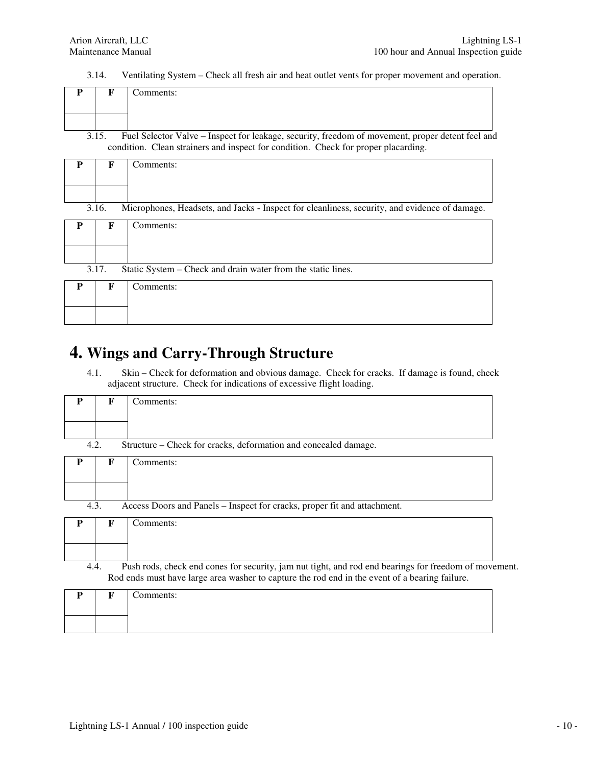3.14. Ventilating System – Check all fresh air and heat outlet vents for proper movement and operation.

|  | Comments:                                                                                      |
|--|------------------------------------------------------------------------------------------------|
|  |                                                                                                |
|  | Fuel Selector Valve – Inspect for leakage, security freedom of movement proper detent feel and |

3.15. Fuel Selector Valve – Inspect for leakage, security, freedom of movement, proper detent feel and condition. Clean strainers and inspect for condition. Check for proper placarding.

| P | F     | Comments:                                                                                     |
|---|-------|-----------------------------------------------------------------------------------------------|
|   |       |                                                                                               |
|   |       |                                                                                               |
|   | 3.16. | Microphones, Headsets, and Jacks - Inspect for cleanliness, security, and evidence of damage. |
| P | F     | Comments:                                                                                     |
|   |       |                                                                                               |
|   |       |                                                                                               |
|   | 3.17. | Static System – Check and drain water from the static lines.                                  |
| P | F     | Comments:                                                                                     |
|   |       |                                                                                               |
|   |       |                                                                                               |

#### **4. Wings and Carry-Through Structure**

4.1. Skin – Check for deformation and obvious damage. Check for cracks. If damage is found, check adjacent structure. Check for indications of excessive flight loading.

| P    | F | Comments:                                                                                             |
|------|---|-------------------------------------------------------------------------------------------------------|
|      |   |                                                                                                       |
|      |   |                                                                                                       |
| 4.2. |   | Structure – Check for cracks, deformation and concealed damage.                                       |
| P    | F | Comments:                                                                                             |
|      |   |                                                                                                       |
|      |   |                                                                                                       |
| 4.3. |   | Access Doors and Panels – Inspect for cracks, proper fit and attachment.                              |
| P    | F | Comments:                                                                                             |
|      |   |                                                                                                       |
|      |   |                                                                                                       |
| 4.4. |   | Push rods, check end cones for security, jam nut tight, and rod end bearings for freedom of movement. |
|      |   | Rod ends must have large area washer to capture the rod end in the event of a bearing failure.        |

| <b>TO</b> | Comments: |
|-----------|-----------|
|           |           |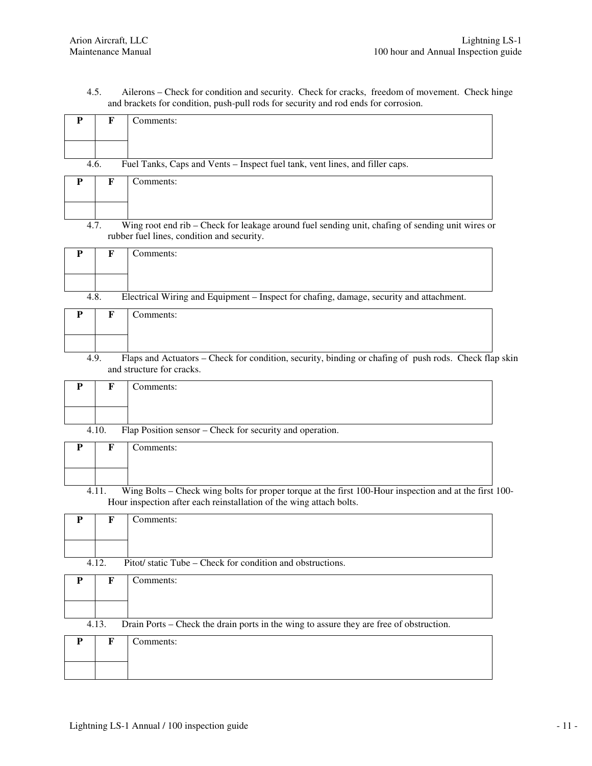4.5. Ailerons – Check for condition and security. Check for cracks, freedom of movement. Check hinge and brackets for condition, push-pull rods for security and rod ends for corrosion.

| Fuel Tanks, Caps and Vents - Inspect fuel tank, vent lines, and filler caps.<br>4.6.<br>$\bf F$<br>Comments:<br>${\bf P}$<br>Wing root end rib - Check for leakage around fuel sending unit, chafing of sending unit wires or<br>4.7.<br>rubber fuel lines, condition and security.<br>Comments:<br>P<br>F<br>Electrical Wiring and Equipment - Inspect for chafing, damage, security and attachment.<br>4.8.<br>Comments:<br>F<br>P<br>Flaps and Actuators - Check for condition, security, binding or chafing of push rods. Check flap skin<br>4.9. |  |
|-------------------------------------------------------------------------------------------------------------------------------------------------------------------------------------------------------------------------------------------------------------------------------------------------------------------------------------------------------------------------------------------------------------------------------------------------------------------------------------------------------------------------------------------------------|--|
|                                                                                                                                                                                                                                                                                                                                                                                                                                                                                                                                                       |  |
|                                                                                                                                                                                                                                                                                                                                                                                                                                                                                                                                                       |  |
|                                                                                                                                                                                                                                                                                                                                                                                                                                                                                                                                                       |  |
|                                                                                                                                                                                                                                                                                                                                                                                                                                                                                                                                                       |  |
|                                                                                                                                                                                                                                                                                                                                                                                                                                                                                                                                                       |  |
|                                                                                                                                                                                                                                                                                                                                                                                                                                                                                                                                                       |  |
|                                                                                                                                                                                                                                                                                                                                                                                                                                                                                                                                                       |  |
|                                                                                                                                                                                                                                                                                                                                                                                                                                                                                                                                                       |  |
|                                                                                                                                                                                                                                                                                                                                                                                                                                                                                                                                                       |  |
|                                                                                                                                                                                                                                                                                                                                                                                                                                                                                                                                                       |  |
|                                                                                                                                                                                                                                                                                                                                                                                                                                                                                                                                                       |  |
| and structure for cracks.                                                                                                                                                                                                                                                                                                                                                                                                                                                                                                                             |  |
| P<br>F<br>Comments:                                                                                                                                                                                                                                                                                                                                                                                                                                                                                                                                   |  |
|                                                                                                                                                                                                                                                                                                                                                                                                                                                                                                                                                       |  |
| Flap Position sensor - Check for security and operation.<br>4.10.                                                                                                                                                                                                                                                                                                                                                                                                                                                                                     |  |
| $\mathbf F$<br>Comments:<br>P                                                                                                                                                                                                                                                                                                                                                                                                                                                                                                                         |  |
|                                                                                                                                                                                                                                                                                                                                                                                                                                                                                                                                                       |  |
| Wing Bolts - Check wing bolts for proper torque at the first 100-Hour inspection and at the first 100-<br>4.11.                                                                                                                                                                                                                                                                                                                                                                                                                                       |  |
| Hour inspection after each reinstallation of the wing attach bolts.                                                                                                                                                                                                                                                                                                                                                                                                                                                                                   |  |
| Comments:<br>P<br>F                                                                                                                                                                                                                                                                                                                                                                                                                                                                                                                                   |  |
|                                                                                                                                                                                                                                                                                                                                                                                                                                                                                                                                                       |  |
| Pitot/static Tube – Check for condition and obstructions.<br>4.12.                                                                                                                                                                                                                                                                                                                                                                                                                                                                                    |  |
| Comments:<br>P<br>F                                                                                                                                                                                                                                                                                                                                                                                                                                                                                                                                   |  |
|                                                                                                                                                                                                                                                                                                                                                                                                                                                                                                                                                       |  |
|                                                                                                                                                                                                                                                                                                                                                                                                                                                                                                                                                       |  |
| Drain Ports - Check the drain ports in the wing to assure they are free of obstruction.<br>4.13.                                                                                                                                                                                                                                                                                                                                                                                                                                                      |  |
| F<br>Comments:<br>P                                                                                                                                                                                                                                                                                                                                                                                                                                                                                                                                   |  |
|                                                                                                                                                                                                                                                                                                                                                                                                                                                                                                                                                       |  |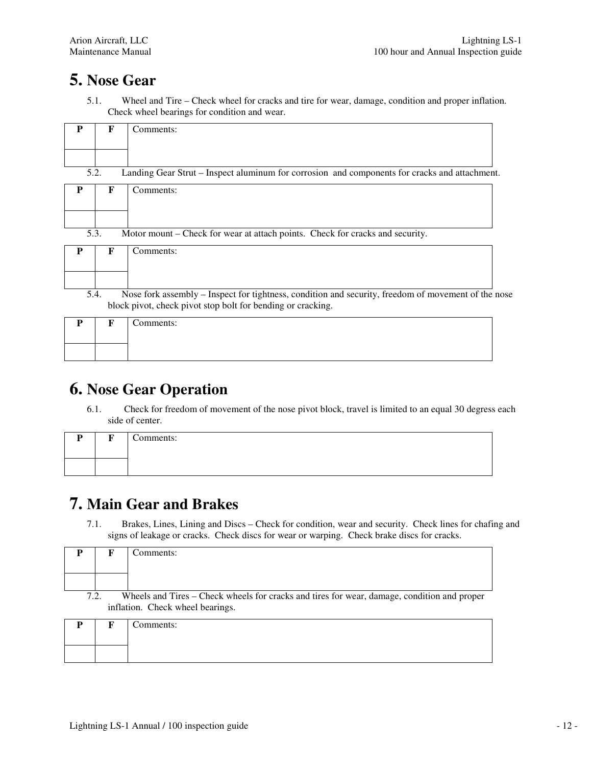### **5. Nose Gear**

5.1. Wheel and Tire – Check wheel for cracks and tire for wear, damage, condition and proper inflation. Check wheel bearings for condition and wear.

| р    |   | Comments:                                                                                     |
|------|---|-----------------------------------------------------------------------------------------------|
|      |   |                                                                                               |
|      |   |                                                                                               |
| 5.2. |   | Landing Gear Strut – Inspect aluminum for corrosion and components for cracks and attachment. |
| Р    | F | Comments:                                                                                     |
|      |   |                                                                                               |
|      |   |                                                                                               |
|      |   |                                                                                               |

| ້.∼<br>THOUGH HIGHIE CHUCK FOR WORK IN ARRAIGN DOMES. CHUCK FOR CHUCKS AND SUCARTY. |                                                                                                   |  |  |  |
|-------------------------------------------------------------------------------------|---------------------------------------------------------------------------------------------------|--|--|--|
|                                                                                     | Comments:                                                                                         |  |  |  |
|                                                                                     |                                                                                                   |  |  |  |
|                                                                                     |                                                                                                   |  |  |  |
|                                                                                     | Nose fork assembly – Inspect for tightness, condition and security, freedom of movement of the no |  |  |  |

5.4. Nose fork assembly – Inspect for tightness, condition and security, freedom of movement of the nose block pivot, check pivot stop bolt for bending or cracking.

| D | $\mathbf{r}$ | $\sim$<br>Comments: |
|---|--------------|---------------------|
|   |              |                     |

### **6. Nose Gear Operation**

6.1. Check for freedom of movement of the nose pivot block, travel is limited to an equal 30 degress each side of center.

| D | $\mathbf{r}$ | $\sim$<br>Comments: |
|---|--------------|---------------------|
|   |              |                     |

#### **7. Main Gear and Brakes**

7.1. Brakes, Lines, Lining and Discs – Check for condition, wear and security. Check lines for chafing and signs of leakage or cracks. Check discs for wear or warping. Check brake discs for cracks.

|      | Comments:                                                                                   |
|------|---------------------------------------------------------------------------------------------|
|      |                                                                                             |
|      |                                                                                             |
| 7.2. | Wheels and Tires – Check wheels for cracks and tires for wear, damage, condition and proper |
|      | inflation. Check wheel bearings.                                                            |
|      | `omments <sup>*</sup>                                                                       |

| <b>n</b> | $\mathbf{E}$ | Comments: |
|----------|--------------|-----------|
|          |              |           |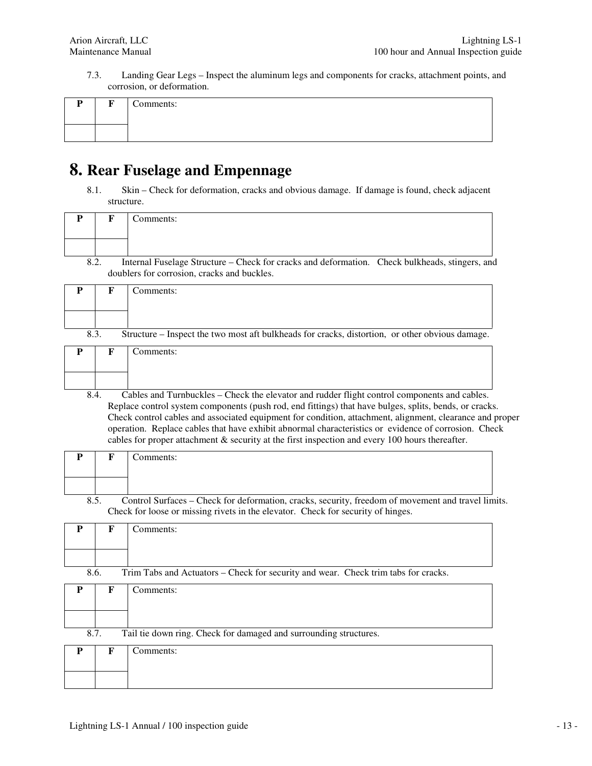7.3. Landing Gear Legs – Inspect the aluminum legs and components for cracks, attachment points, and corrosion, or deformation.

| $\mathbf{r}$ | Comments: |
|--------------|-----------|
|              |           |

#### **8. Rear Fuselage and Empennage**

8.1. Skin – Check for deformation, cracks and obvious damage. If damage is found, check adjacent structure.

| P    | F            | Comments:                                                                                                                                                                                                                                                                                                                                                                                                                                                                                                                     |
|------|--------------|-------------------------------------------------------------------------------------------------------------------------------------------------------------------------------------------------------------------------------------------------------------------------------------------------------------------------------------------------------------------------------------------------------------------------------------------------------------------------------------------------------------------------------|
|      |              |                                                                                                                                                                                                                                                                                                                                                                                                                                                                                                                               |
| 8.2. |              | Internal Fuselage Structure – Check for cracks and deformation. Check bulkheads, stingers, and<br>doublers for corrosion, cracks and buckles.                                                                                                                                                                                                                                                                                                                                                                                 |
| P    | F            | Comments:                                                                                                                                                                                                                                                                                                                                                                                                                                                                                                                     |
| 8.3. |              | Structure – Inspect the two most aft bulkheads for cracks, distortion, or other obvious damage.                                                                                                                                                                                                                                                                                                                                                                                                                               |
| P    | $\mathbf{F}$ | Comments:                                                                                                                                                                                                                                                                                                                                                                                                                                                                                                                     |
| 8.4. |              | Cables and Turnbuckles - Check the elevator and rudder flight control components and cables.<br>Replace control system components (push rod, end fittings) that have bulges, splits, bends, or cracks.<br>Check control cables and associated equipment for condition, attachment, alignment, clearance and proper<br>operation. Replace cables that have exhibit abnormal characteristics or evidence of corrosion. Check<br>cables for proper attachment & security at the first inspection and every 100 hours thereafter. |
| P    | F            | Comments:                                                                                                                                                                                                                                                                                                                                                                                                                                                                                                                     |
| 8.5. |              | Control Surfaces - Check for deformation, cracks, security, freedom of movement and travel limits.<br>Check for loose or missing rivets in the elevator. Check for security of hinges.                                                                                                                                                                                                                                                                                                                                        |
| P    | F            | Comments:                                                                                                                                                                                                                                                                                                                                                                                                                                                                                                                     |
| 8.6. |              | Trim Tabs and Actuators - Check for security and wear. Check trim tabs for cracks.                                                                                                                                                                                                                                                                                                                                                                                                                                            |
| P    | $\mathbf{F}$ | Comments:                                                                                                                                                                                                                                                                                                                                                                                                                                                                                                                     |
| 8.7. |              | Tail tie down ring. Check for damaged and surrounding structures.                                                                                                                                                                                                                                                                                                                                                                                                                                                             |
| P    | F            | Comments:                                                                                                                                                                                                                                                                                                                                                                                                                                                                                                                     |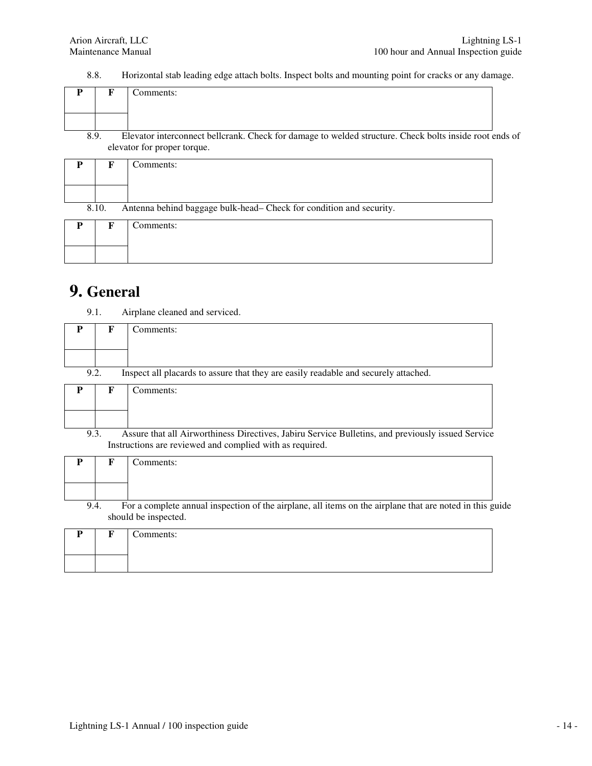8.8. Horizontal stab leading edge attach bolts. Inspect bolts and mounting point for cracks or any damage.

|      | Comments:                                                                                              |
|------|--------------------------------------------------------------------------------------------------------|
|      |                                                                                                        |
| 8.9. | Elevator interconnect bellcrank. Check for damage to welded structure. Check bolts inside root ends of |
|      | elevator for proper torque                                                                             |

|   |                                                                              | cicvator for proper torque. |  |  |
|---|------------------------------------------------------------------------------|-----------------------------|--|--|
| P | F                                                                            | Comments:                   |  |  |
|   |                                                                              |                             |  |  |
|   |                                                                              |                             |  |  |
|   |                                                                              |                             |  |  |
|   | Antenna behind baggage bulk-head- Check for condition and security.<br>8.10. |                             |  |  |
| P | F                                                                            | Comments:                   |  |  |
|   |                                                                              |                             |  |  |
|   |                                                                              |                             |  |  |
|   |                                                                              |                             |  |  |

#### **9. General**

9.1. Airplane cleaned and serviced.

| P                                                                                                         | F | Comments: |  |  |  |
|-----------------------------------------------------------------------------------------------------------|---|-----------|--|--|--|
|                                                                                                           |   |           |  |  |  |
|                                                                                                           |   |           |  |  |  |
| 9.2.<br>Inspect all placards to assure that they are easily readable and securely attached.               |   |           |  |  |  |
| P                                                                                                         | F | Comments: |  |  |  |
|                                                                                                           |   |           |  |  |  |
|                                                                                                           |   |           |  |  |  |
| Assure that all Airworthiness Directives, Jabiru Service Bulletins, and previously issued Service<br>9.3. |   |           |  |  |  |
| Instructions are reviewed and complied with as required.                                                  |   |           |  |  |  |

|                                                                                                                                          |  | Comments: |  |  |
|------------------------------------------------------------------------------------------------------------------------------------------|--|-----------|--|--|
|                                                                                                                                          |  |           |  |  |
|                                                                                                                                          |  |           |  |  |
| For a complete annual inspection of the airplane, all items on the airplane that are noted in this guide<br>9.4.<br>should be inspected. |  |           |  |  |
| P                                                                                                                                        |  | Comments: |  |  |